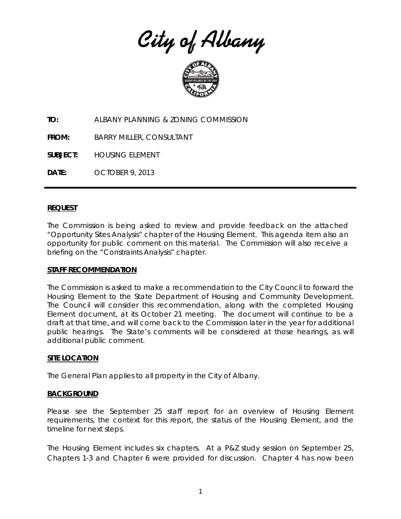City of Albany



**TO:** ALBANY PLANNING & ZONING COMMISSION

**FROM:** BARRY MILLER, CONSULTANT

**SUBJECT:** HOUSING ELEMENT

**DATE:** OCTOBER 9, 2013

## **REQUEST**

The Commission is being asked to review and provide feedback on the attached "Opportunity Sites Analysis" chapter of the Housing Element. This agenda item also an opportunity for public comment on this material. The Commission will also receive a briefing on the "Constraints Analysis" chapter.

## **STAFF RECOMMENDATION**

The Commission is asked to make a recommendation to the City Council to forward the Housing Element to the State Department of Housing and Community Development. The Council will consider this recommendation, along with the completed Housing Element document, at its October 21 meeting. The document will continue to be a draft at that time, and will come back to the Commission later in the year for additional public hearings. The State's comments will be considered at those hearings, as will additional public comment.

## **SITE LOCATION**

The General Plan applies to all property in the City of Albany.

## **BACKGROUND**

Please see the September 25 staff report for an overview of Housing Element requirements, the context for this report, the status of the Housing Element, and the timeline for next steps.

The Housing Element includes six chapters. At a P&Z study session on September 25, Chapters 1-3 and Chapter 6 were provided for discussion. Chapter 4 has now been